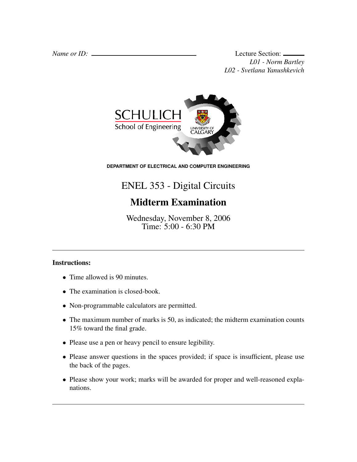*Name or ID:* Lecture Section: *L01 - Norm Bartley L02 - Svetlana Yanushkevich*



**DEPARTMENT OF ELECTRICAL AND COMPUTER ENGINEERING**

## ENEL 353 - Digital Circuits

## Midterm Examination

Wednesday, November 8, 2006 Time: 5:00 - 6:30 PM

## Instructions:

- Time allowed is 90 minutes.
- The examination is closed-book.
- Non-programmable calculators are permitted.
- The maximum number of marks is 50, as indicated; the midterm examination counts 15% toward the final grade.
- Please use a pen or heavy pencil to ensure legibility.
- Please answer questions in the spaces provided; if space is insufficient, please use the back of the pages.
- Please show your work; marks will be awarded for proper and well-reasoned explanations.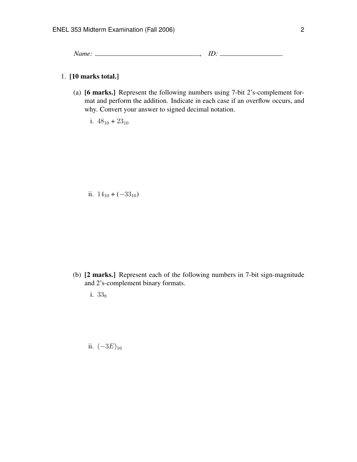*Name:* , *ID:*

## 1. [10 marks total.]

- (a) [6 marks.] Represent the following numbers using 7-bit 2's-complement format and perform the addition. Indicate in each case if an overflow occurs, and why. Convert your answer to signed decimal notation.
	- i.  $48_{10} + 23_{10}$

ii.  $14_{10} + (-33_{10})$ 

- (b) [2 marks.] Represent each of the following numbers in 7-bit sign-magnitude and 2's-complement binary formats.
	- i. 33<sub>8</sub>

ii.  $(-3E)_{16}$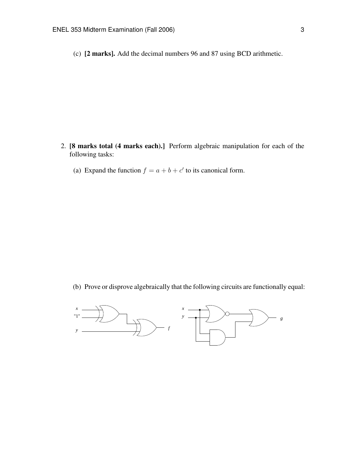(c) [2 marks]. Add the decimal numbers 96 and 87 using BCD arithmetic.

- 2. [8 marks total (4 marks each).] Perform algebraic manipulation for each of the following tasks:
	- (a) Expand the function  $f = a + b + c'$  to its canonical form.

(b) Prove or disprove algebraically that the following circuits are functionally equal:

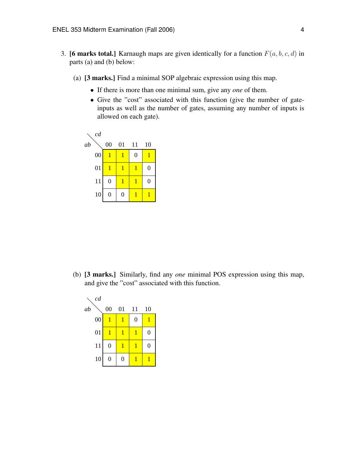- 3. **[6 marks total.]** Karnaugh maps are given identically for a function  $F(a, b, c, d)$  in parts (a) and (b) below:
	- (a) [3 marks.] Find a minimal SOP algebraic expression using this map.
		- If there is more than one minimal sum, give any *one* of them.
		- Give the "cost" associated with this function (give the number of gateinputs as well as the number of gates, assuming any number of inputs is allowed on each gate).



(b) [3 marks.] Similarly, find any *one* minimal POS expression using this map, and give the "cost" associated with this function.

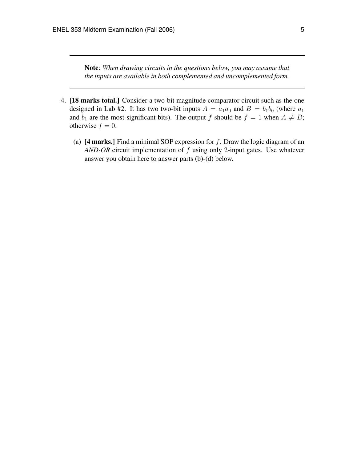Note: *When drawing circuits in the questions below, you may assume that the inputs are available in both complemented and uncomplemented form.*

- 4. [18 marks total.] Consider a two-bit magnitude comparator circuit such as the one designed in Lab #2. It has two two-bit inputs  $A = a_1 a_0$  and  $B = b_1 b_0$  (where  $a_1$ and  $b_1$  are the most-significant bits). The output f should be  $f = 1$  when  $A \neq B$ ; otherwise  $f = 0$ .
	- (a)  $[4 \text{ marks.}]$  Find a minimal SOP expression for f. Draw the logic diagram of an *AND-OR* circuit implementation of f using only 2-input gates. Use whatever answer you obtain here to answer parts (b)-(d) below.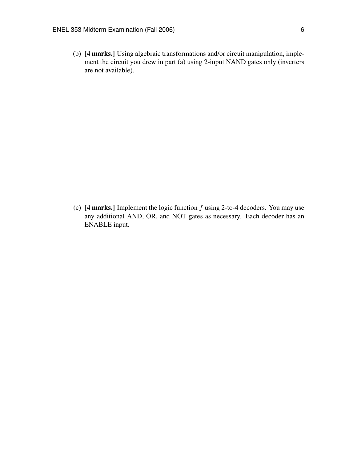(b) [4 marks.] Using algebraic transformations and/or circuit manipulation, implement the circuit you drew in part (a) using 2-input NAND gates only (inverters are not available).

(c)  $[4 \text{ marks.}]$  Implement the logic function  $f$  using 2-to-4 decoders. You may use any additional AND, OR, and NOT gates as necessary. Each decoder has an ENABLE input.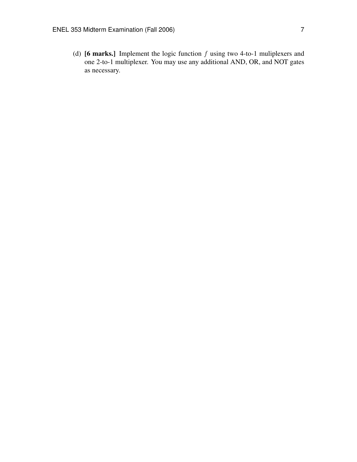(d) [6 marks.] Implement the logic function  $f$  using two 4-to-1 muliplexers and one 2-to-1 multiplexer. You may use any additional AND, OR, and NOT gates as necessary.